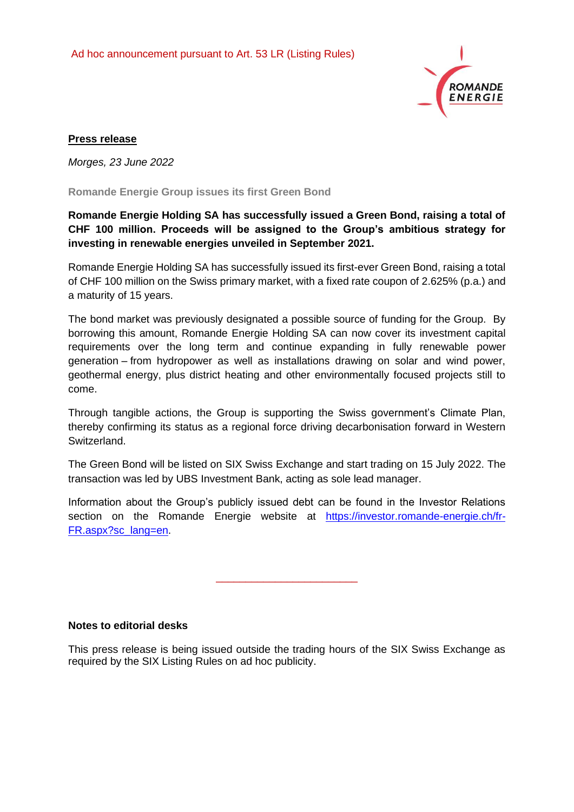

## **Press release**

*Morges, 23 June 2022*

**Romande Energie Group issues its first Green Bond** 

# **Romande Energie Holding SA has successfully issued a Green Bond, raising a total of CHF 100 million. Proceeds will be assigned to the Group's ambitious strategy for investing in renewable energies unveiled in September 2021.**

Romande Energie Holding SA has successfully issued its first-ever Green Bond, raising a total of CHF 100 million on the Swiss primary market, with a fixed rate coupon of 2.625% (p.a.) and a maturity of 15 years.

The bond market was previously designated a possible source of funding for the Group. By borrowing this amount, Romande Energie Holding SA can now cover its investment capital requirements over the long term and continue expanding in fully renewable power generation – from hydropower as well as installations drawing on solar and wind power, geothermal energy, plus district heating and other environmentally focused projects still to come.

Through tangible actions, the Group is supporting the Swiss government's Climate Plan, thereby confirming its status as a regional force driving decarbonisation forward in Western Switzerland.

The Green Bond will be listed on SIX Swiss Exchange and start trading on 15 July 2022. The transaction was led by UBS Investment Bank, acting as sole lead manager.

Information about the Group's publicly issued debt can be found in the Investor Relations section on the Romande Energie website at [https://investor.romande-energie.ch/fr-](https://investor.romande-energie.ch/fr-FR.aspx?sc_lang=en)[FR.aspx?sc\\_lang=en.](https://investor.romande-energie.ch/fr-FR.aspx?sc_lang=en)

\_\_\_\_\_\_\_\_\_\_\_\_\_\_\_\_\_\_\_\_\_\_\_\_

**Notes to editorial desks** 

This press release is being issued outside the trading hours of the SIX Swiss Exchange as required by the SIX Listing Rules on ad hoc publicity.